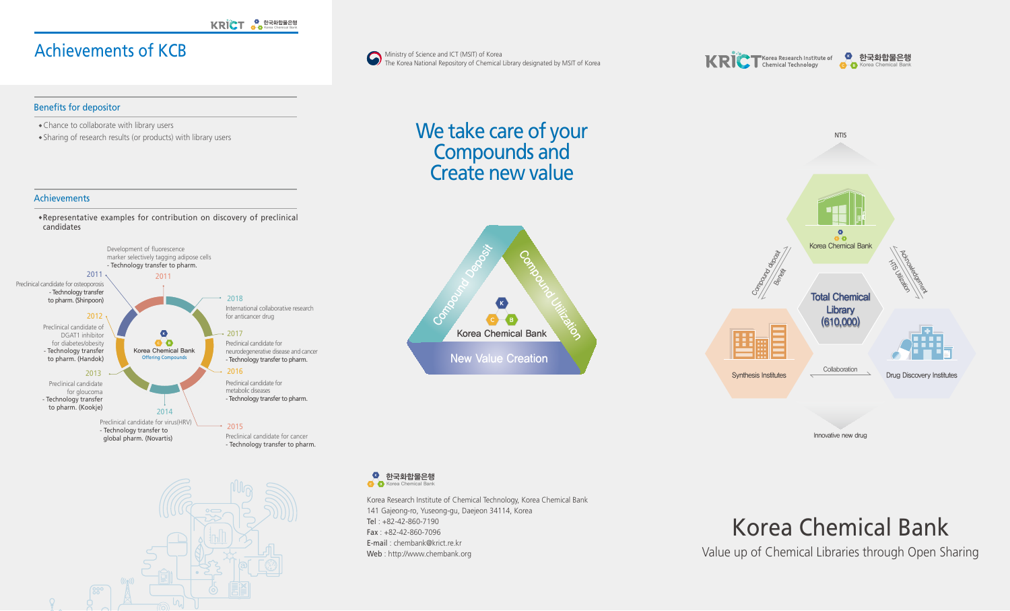## Achievements of KCB

## Benefits for depositor

· Chance to collaborate with library users

· Sharing of research results (or products) with library users

### Achievements

· Representative examples for contribution on discovery of preclinical candidates









## We take care of your Compounds and Create new value





Innovative new drug

### $\bullet$ 한국화합물은행  $\bullet$  $\bullet$ Korea Chemical Bank

Korea Research Institute of Chemical Technology, Korea Chemical Bank 141 Gajeong-ro, Yuseong-gu, Daejeon 34114, Korea Tel: +82-42-860-7190 Fax : +82-42-860-7096 E-mail : chembank@krict.re.kr Web : http://www.chembank.org

# Korea Chemical Bank

Value up of Chemical Libraries through Open Sharing